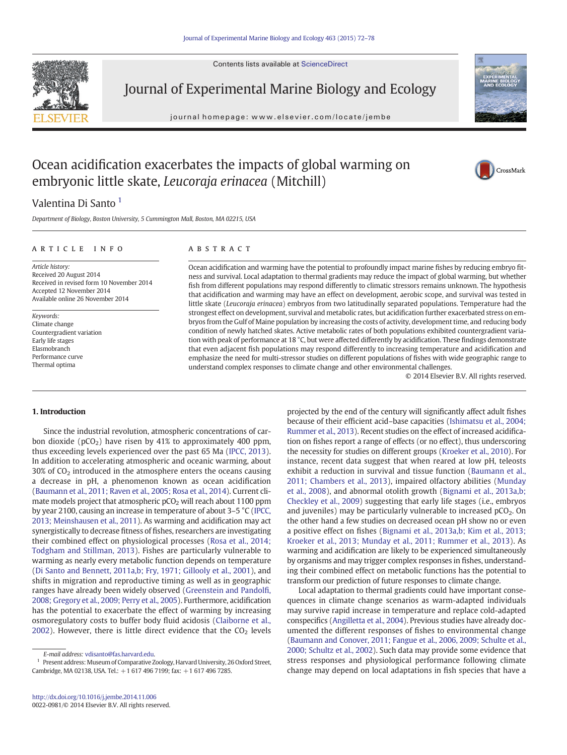Contents lists available at ScienceDirect



Journal of Experimental Marine Biology and Ecology

journal homepage: www.elsevier.com/locate/jembe



# Ocean acidification exacerbates the impacts of global warming on embryonic little skate, Leucoraja erinacea (Mitchill)

# CrossMark

## Valentina Di Santo<sup>1</sup>

Department of Biology, Boston University, 5 Cummington Mall, Boston, MA 02215, USA

#### article info abstract

Article history: Received 20 August 2014 Received in revised form 10 November 2014 Accepted 12 November 2014 Available online 26 November 2014

Keywords: Climate change Countergradient variation Early life stages Elasmobranch Performance curve Thermal optima

Ocean acidification and warming have the potential to profoundly impact marine fishes by reducing embryo fitness and survival. Local adaptation to thermal gradients may reduce the impact of global warming, but whether fish from different populations may respond differently to climatic stressors remains unknown. The hypothesis that acidification and warming may have an effect on development, aerobic scope, and survival was tested in little skate (Leucoraja erinacea) embryos from two latitudinally separated populations. Temperature had the strongest effect on development, survival and metabolic rates, but acidification further exacerbated stress on embryos from the Gulf of Maine population by increasing the costs of activity, development time, and reducing body condition of newly hatched skates. Active metabolic rates of both populations exhibited countergradient variation with peak of performance at 18 °C, but were affected differently by acidification. These findings demonstrate that even adjacent fish populations may respond differently to increasing temperature and acidification and emphasize the need for multi-stressor studies on different populations of fishes with wide geographic range to understand complex responses to climate change and other environmental challenges.

© 2014 Elsevier B.V. All rights reserved.

#### 1. Introduction

Since the industrial revolution, atmospheric concentrations of carbon dioxide ( $pCO<sub>2</sub>$ ) have risen by 41% to approximately 400 ppm, thus exceeding levels experienced over the past 65 Ma ([IPCC, 2013](#page-6-0)). In addition to accelerating atmospheric and oceanic warming, about 30% of  $CO<sub>2</sub>$  introduced in the atmosphere enters the oceans causing a decrease in pH, a phenomenon known as ocean acidification [\(Baumann et al., 2011; Raven et al., 2005; Rosa et al., 2014\)](#page-5-0). Current climate models project that atmospheric  $pCO<sub>2</sub>$  will reach about 1100 ppm by year 2100, causing an increase in temperature of about 3–5 °C [\(IPCC,](#page-6-0) [2013; Meinshausen et al., 2011](#page-6-0)). As warming and acidification may act synergistically to decrease fitness of fishes, researchers are investigating their combined effect on physiological processes ([Rosa et al., 2014;](#page-6-0) [Todgham and Stillman, 2013\)](#page-6-0). Fishes are particularly vulnerable to warming as nearly every metabolic function depends on temperature [\(Di Santo and Bennett, 2011a,b; Fry, 1971; Gillooly et al., 2001](#page-5-0)), and shifts in migration and reproductive timing as well as in geographic ranges have already been widely observed [\(Greenstein and Pandol](#page-5-0)fi, [2008; Gregory et al., 2009; Perry et al., 2005](#page-5-0)). Furthermore, acidification has the potential to exacerbate the effect of warming by increasing osmoregulatory costs to buffer body fluid acidosis ([Claiborne et al.,](#page-5-0) [2002](#page-5-0)). However, there is little direct evidence that the  $CO<sub>2</sub>$  levels

<sup>1</sup> Present address: Museum of Comparative Zoology, Harvard University, 26 Oxford Street, Cambridge, MA 02138, USA. Tel.: +1 617 496 7199; fax: +1 617 496 7285.

projected by the end of the century will significantly affect adult fishes because of their efficient acid–base capacities ([Ishimatsu et al., 2004;](#page-6-0) [Rummer et al., 2013](#page-6-0)). Recent studies on the effect of increased acidification on fishes report a range of effects (or no effect), thus underscoring the necessity for studies on different groups [\(Kroeker et al., 2010\)](#page-6-0). For instance, recent data suggest that when reared at low pH, teleosts exhibit a reduction in survival and tissue function [\(Baumann et al.,](#page-5-0) [2011; Chambers et al., 2013](#page-5-0)), impaired olfactory abilities [\(Munday](#page-6-0) [et al., 2008\)](#page-6-0), and abnormal otolith growth [\(Bignami et al., 2013a,b;](#page-5-0) [Checkley et al., 2009\)](#page-5-0) suggesting that early life stages (i.e., embryos and juveniles) may be particularly vulnerable to increased  $pCO<sub>2</sub>$ . On the other hand a few studies on decreased ocean pH show no or even a positive effect on fishes ([Bignami et al., 2013a,b; Kim et al., 2013;](#page-5-0) [Kroeker et al., 2013; Munday et al., 2011; Rummer et al., 2013\)](#page-5-0). As warming and acidification are likely to be experienced simultaneously by organisms and may trigger complex responses in fishes, understanding their combined effect on metabolic functions has the potential to transform our prediction of future responses to climate change.

Local adaptation to thermal gradients could have important consequences in climate change scenarios as warm-adapted individuals may survive rapid increase in temperature and replace cold-adapted conspecifics [\(Angilletta et al., 2004\)](#page-5-0). Previous studies have already documented the different responses of fishes to environmental change [\(Baumann and Conover, 2011; Fangue et al., 2006, 2009; Schulte et al.,](#page-5-0) [2000; Schultz et al., 2002\)](#page-5-0). Such data may provide some evidence that stress responses and physiological performance following climate change may depend on local adaptations in fish species that have a

E-mail address: [vdisanto@fas.harvard.edu.](mailto:vdisanto@fas.harvard.edu)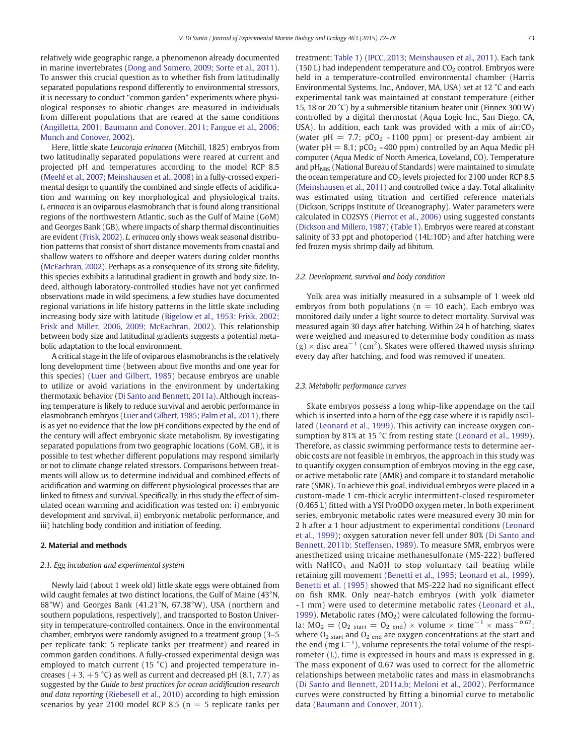relatively wide geographic range, a phenomenon already documented in marine invertebrates [\(Dong and Somero, 2009; Sorte et al., 2011](#page-5-0)). To answer this crucial question as to whether fish from latitudinally separated populations respond differently to environmental stressors, it is necessary to conduct "common garden" experiments where physiological responses to abiotic changes are measured in individuals from different populations that are reared at the same conditions [\(Angilletta, 2001; Baumann and Conover, 2011; Fangue et al., 2006;](#page-5-0) [Munch and Conover, 2002](#page-5-0)).

Here, little skate Leucoraja erinacea (Mitchill, 1825) embryos from two latitudinally separated populations were reared at current and projected pH and temperatures according to the model RCP 8.5 [\(Meehl et al., 2007; Meinshausen et al., 2008](#page-6-0)) in a fully-crossed experimental design to quantify the combined and single effects of acidification and warming on key morphological and physiological traits. L. erinacea is an oviparous elasmobranch that is found along transitional regions of the northwestern Atlantic, such as the Gulf of Maine (GoM) and Georges Bank (GB), where impacts of sharp thermal discontinuities are evident [\(Frisk, 2002](#page-5-0)). L. erinacea only shows weak seasonal distribution patterns that consist of short distance movements from coastal and shallow waters to offshore and deeper waters during colder months [\(McEachran, 2002\)](#page-6-0). Perhaps as a consequence of its strong site fidelity, this species exhibits a latitudinal gradient in growth and body size. Indeed, although laboratory-controlled studies have not yet confirmed observations made in wild specimens, a few studies have documented regional variations in life history patterns in the little skate including increasing body size with latitude [\(Bigelow et al., 1953; Frisk, 2002;](#page-5-0) [Frisk and Miller, 2006, 2009; McEachran, 2002\)](#page-5-0). This relationship between body size and latitudinal gradients suggests a potential metabolic adaptation to the local environment.

A critical stage in the life of oviparous elasmobranchs is the relatively long development time (between about five months and one year for this species) ([Luer and Gilbert, 1985](#page-6-0)) because embryos are unable to utilize or avoid variations in the environment by undertaking thermotaxic behavior [\(Di Santo and Bennett, 2011a\)](#page-5-0). Although increasing temperature is likely to reduce survival and aerobic performance in elasmobranch embryos ([Luer and Gilbert, 1985; Palm et al., 2011](#page-6-0)), there is as yet no evidence that the low pH conditions expected by the end of the century will affect embryonic skate metabolism. By investigating separated populations from two geographic locations (GoM, GB), it is possible to test whether different populations may respond similarly or not to climate change related stressors. Comparisons between treatments will allow us to determine individual and combined effects of acidification and warming on different physiological processes that are linked to fitness and survival. Specifically, in this study the effect of simulated ocean warming and acidification was tested on: i) embryonic development and survival, ii) embryonic metabolic performance, and iii) hatchling body condition and initiation of feeding.

#### 2. Material and methods

#### 2.1. Egg incubation and experimental system

Newly laid (about 1 week old) little skate eggs were obtained from wild caught females at two distinct locations, the Gulf of Maine (43°N, 68°W) and Georges Bank (41.21°N, 67.38°W), USA (northern and southern populations, respectively), and transported to Boston University in temperature-controlled containers. Once in the environmental chamber, embryos were randomly assigned to a treatment group (3–5 per replicate tank; 5 replicate tanks per treatment) and reared in common garden conditions. A fully-crossed experimental design was employed to match current (15 °C) and projected temperature increases  $(+3, +5 \degree C)$  as well as current and decreased pH (8.1, 7.7) as suggested by the Guide to best practices for ocean acidification research and data reporting [\(Riebesell et al., 2010](#page-6-0)) according to high emission scenarios by year 2100 model RCP 8.5 ( $n = 5$  replicate tanks per treatment; [Table 1](#page-2-0)) ([IPCC, 2013; Meinshausen et al., 2011\)](#page-6-0). Each tank (150 L) had independent temperature and  $CO<sub>2</sub>$  control. Embryos were held in a temperature-controlled environmental chamber (Harris Environmental Systems, Inc., Andover, MA, USA) set at 12 °C and each experimental tank was maintained at constant temperature (either 15, 18 or 20 °C) by a submersible titanium heater unit (Finnex 300 W) controlled by a digital thermostat (Aqua Logic Inc., San Diego, CA, USA). In addition, each tank was provided with a mix of air: $CO<sub>2</sub>$ (water pH = 7.7;  $pCO<sub>2</sub>$  ~1100 ppm) or present-day ambient air (water  $pH = 8.1$ ;  $pCO<sub>2</sub> \sim 400$  ppm) controlled by an Aqua Medic pH computer (Aqua Medic of North America, Loveland, CO). Temperature and  $pH<sub>NBS</sub>$  (National Bureau of Standards) were maintained to simulate the ocean temperature and  $CO<sub>2</sub>$  levels projected for 2100 under RCP 8.5 [\(Meinshausen et al., 2011](#page-6-0)) and controlled twice a day. Total alkalinity was estimated using titration and certified reference materials (Dickson, Scripps Institute of Oceanography). Water parameters were calculated in CO2SYS [\(Pierrot et al., 2006](#page-6-0)) using suggested constants [\(Dickson and Millero, 1987](#page-5-0)) [\(Table 1\)](#page-2-0). Embryos were reared at constant salinity of 33 ppt and photoperiod (14L:10D) and after hatching were fed frozen mysis shrimp daily ad libitum.

#### 2.2. Development, survival and body condition

Yolk area was initially measured in a subsample of 1 week old embryos from both populations ( $n = 10$  each). Each embryo was monitored daily under a light source to detect mortality. Survival was measured again 30 days after hatching. Within 24 h of hatching, skates were weighed and measured to determine body condition as mass  $(g) \times$  disc area<sup>-1</sup> (cm<sup>2</sup>). Skates were offered thawed mysis shrimp every day after hatching, and food was removed if uneaten.

#### 2.3. Metabolic performance curves

Skate embryos possess a long whip-like appendage on the tail which is inserted into a horn of the egg case where it is rapidly oscillated ([Leonard et al., 1999\)](#page-6-0). This activity can increase oxygen con-sumption by 81% at 15 °C from resting state ([Leonard et al., 1999](#page-6-0)). Therefore, as classic swimming performance tests to determine aerobic costs are not feasible in embryos, the approach in this study was to quantify oxygen consumption of embryos moving in the egg case, or active metabolic rate (AMR) and compare it to standard metabolic rate (SMR). To achieve this goal, individual embryos were placed in a custom-made 1 cm-thick acrylic intermittent-closed respirometer (0.465 L) fitted with a YSI ProODO oxygen meter. In both experiment series, embryonic metabolic rates were measured every 30 min for 2 h after a 1 hour adjustment to experimental conditions [\(Leonard](#page-6-0) [et al., 1999\)](#page-6-0); oxygen saturation never fell under 80% ([Di Santo and](#page-5-0) [Bennett, 2011b; Steffensen, 1989](#page-5-0)). To measure SMR, embryos were anesthetized using tricaine methanesulfonate (MS-222) buffered with NaHCO<sub>3</sub> and NaOH to stop voluntary tail beating while retaining gill movement [\(Benetti et al., 1995; Leonard et al., 1999](#page-5-0)). [Benetti et al. \(1995\)](#page-5-0) showed that MS-222 had no significant effect on fish RMR. Only near-hatch embryos (with yolk diameter ~1 mm) were used to determine metabolic rates ([Leonard et al.,](#page-6-0) [1999](#page-6-0)). Metabolic rates  $(MO<sub>2</sub>)$  were calculated following the formula: MO<sub>2</sub> = (O<sub>2 start</sub> = O<sub>2 end</sub>) × volume × time<sup>-1</sup> × mass<sup>-0.67</sup>; where  $O<sub>2 start</sub>$  and  $O<sub>2 end</sub>$  are oxygen concentrations at the start and the end (mg  $L^{-1}$ ), volume represents the total volume of the respirometer (L), time is expressed in hours and mass is expressed in g. The mass exponent of 0.67 was used to correct for the allometric relationships between metabolic rates and mass in elasmobranchs [\(Di Santo and Bennett, 2011a,b; Meloni et al., 2002](#page-5-0)). Performance curves were constructed by fitting a binomial curve to metabolic data [\(Baumann and Conover, 2011](#page-5-0)).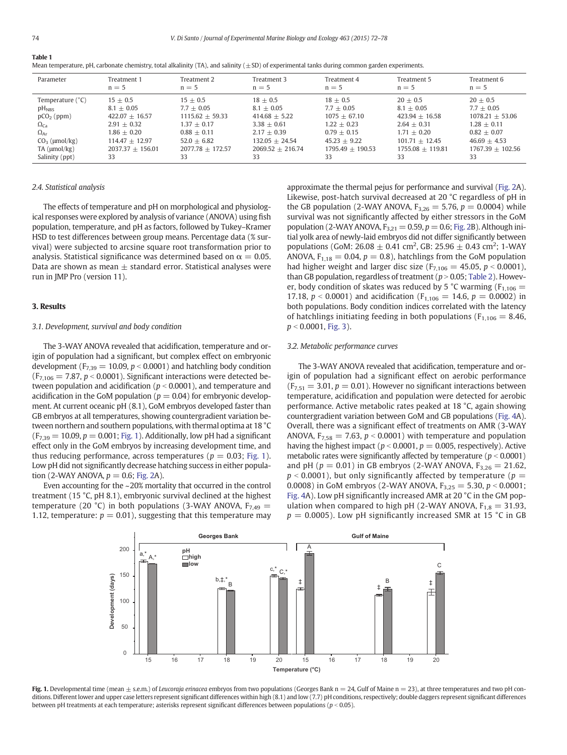<span id="page-2-0"></span>

| Mean temperature, pH, carbonate chemistry, total alkalinity (TA), and salinity (±SD) of experimental tanks during common garden experiments. |  |  |  |  |  |  |  |
|----------------------------------------------------------------------------------------------------------------------------------------------|--|--|--|--|--|--|--|
|----------------------------------------------------------------------------------------------------------------------------------------------|--|--|--|--|--|--|--|

| Parameter         | Treatment 1        | Treatment 2        | Treatment 3        | Treatment 4        | Treatment 5        | Treatment 6        |
|-------------------|--------------------|--------------------|--------------------|--------------------|--------------------|--------------------|
|                   | $n = 5$            | $n = 5$            | $n = 5$            | $n = 5$            | $n = 5$            | $n = 5$            |
| Temperature (°C)  | $15 + 0.5$         | $15 + 0.5$         | $18 + 0.5$         | $18 + 0.5$         | $20 + 0.5$         | $20 + 0.5$         |
| $pH_{NBS}$        | $8.1 + 0.05$       | $7.7 + 0.05$       | $8.1 + 0.05$       | $7.7 + 0.05$       | $8.1 + 0.05$       | $7.7 + 0.05$       |
| $pCO2$ (ppm)      | $422.07 + 16.57$   | $1115.62 + 59.33$  | $414.68 + 5.22$    | $1075 + 67.10$     | $423.94 + 16.58$   | $1078.21 + 53.06$  |
| $\Omega_{Ca}$     | $2.91 + 0.32$      | $1.37 + 0.17$      | $3.38 + 0.61$      | $1.22 + 0.23$      | $2.64 + 0.31$      | $1.28 + 0.11$      |
| $\Omega_{\rm Ar}$ | $1.86 + 0.20$      | $0.88 + 0.11$      | $2.17 + 0.39$      | $0.79 + 0.15$      | $1.71 + 0.20$      | $0.82 + 0.07$      |
| $CO3$ (µmol/kg)   | $114.47 + 12.97$   | $52.0 + 6.82$      | $132.05 + 24.54$   | $45.23 + 9.22$     | $101.71 + 12.45$   | $46.69 + 4.53$     |
| $TA \, (umol/kg)$ | $2037.37 + 156.01$ | $2077.78 + 172.57$ | $2069.52 + 216.74$ | $1795.49 + 190.53$ | $1755.08 + 119.81$ | $1767.39 + 102.56$ |
| Salinity (ppt)    | 33                 | 33                 | 33                 | 33                 | 33                 | 33                 |

#### 2.4. Statistical analysis

The effects of temperature and pH on morphological and physiological responses were explored by analysis of variance (ANOVA) using fish population, temperature, and pH as factors, followed by Tukey–Kramer HSD to test differences between group means. Percentage data (% survival) were subjected to arcsine square root transformation prior to analysis. Statistical significance was determined based on  $\alpha = 0.05$ . Data are shown as mean  $\pm$  standard error. Statistical analyses were run in JMP Pro (version 11).

#### 3. Results

#### 3.1. Development, survival and body condition

The 3-WAY ANOVA revealed that acidification, temperature and origin of population had a significant, but complex effect on embryonic development ( $F_{7,39}$  = 10.09,  $p$  < 0.0001) and hatchling body condition  $(F_{7,106} = 7.87, p < 0.0001)$ . Significant interactions were detected between population and acidification ( $p < 0.0001$ ), and temperature and acidification in the GoM population ( $p = 0.04$ ) for embryonic development. At current oceanic pH (8.1), GoM embryos developed faster than GB embryos at all temperatures, showing countergradient variation between northern and southern populations, with thermal optima at 18 °C  $(F_{7,39} = 10.09, p = 0.001; Fig. 1)$ . Additionally, low pH had a significant effect only in the GoM embryos by increasing development time, and thus reducing performance, across temperatures ( $p = 0.03$ ; Fig. 1). Low pH did not significantly decrease hatching success in either population (2-WAY ANOVA,  $p = 0.6$ ; [Fig. 2](#page-3-0)A).

Even accounting for the ~20% mortality that occurred in the control treatment (15 °C, pH 8.1), embryonic survival declined at the highest temperature (20 °C) in both populations (3-WAY ANOVA,  $F_{7,49}$  = 1.12, temperature:  $p = 0.01$ ), suggesting that this temperature may approximate the thermal pejus for performance and survival ([Fig. 2](#page-3-0)A). Likewise, post-hatch survival decreased at 20 °C regardless of pH in the GB population (2-WAY ANOVA,  $F_{3,26} = 5.76$ ,  $p = 0.0004$ ) while survival was not significantly affected by either stressors in the GoM population (2-WAY ANOVA,  $F_{3,21}= 0.59, p = 0.6$ ; [Fig. 2B](#page-3-0)). Although initial yolk area of newly-laid embryos did not differ significantly between populations (GoM: 26.08  $\pm$  0.41 cm<sup>2</sup>, GB: 25.96  $\pm$  0.43 cm<sup>2</sup>; 1-WAY ANOVA,  $F_{1,18} = 0.04$ ,  $p = 0.8$ ), hatchlings from the GoM population had higher weight and larger disc size ( $F_{7,106} = 45.05$ ,  $p < 0.0001$ ), than GB population, regardless of treatment ( $p > 0.05$ ; [Table 2\)](#page-3-0). However, body condition of skates was reduced by 5 °C warming ( $F_{1,106}$  = 17.18,  $p < 0.0001$ ) and acidification (F<sub>1,106</sub> = 14.6,  $p = 0.0002$ ) in both populations. Body condition indices correlated with the latency of hatchlings initiating feeding in both populations ( $F_{1,106} = 8.46$ ,  $p < 0.0001$ , [Fig. 3](#page-4-0)).

#### 3.2. Metabolic performance curves

The 3-WAY ANOVA revealed that acidification, temperature and origin of population had a significant effect on aerobic performance  $(F_{7,51} = 3.01, p = 0.01)$ . However no significant interactions between temperature, acidification and population were detected for aerobic performance. Active metabolic rates peaked at 18 °C, again showing countergradient variation between GoM and GB populations ([Fig. 4](#page-5-0)A). Overall, there was a significant effect of treatments on AMR (3-WAY ANOVA,  $F_{7,58} = 7.63$ ,  $p < 0.0001$ ) with temperature and population having the highest impact ( $p < 0.0001$ ,  $p = 0.005$ , respectively). Active metabolic rates were significantly affected by temperature ( $p < 0.0001$ ) and pH ( $p = 0.01$ ) in GB embryos (2-WAY ANOVA,  $F_{3,26} = 21.62$ ,  $p < 0.0001$ ), but only significantly affected by temperature ( $p =$ 0.0008) in GoM embryos (2-WAY ANOVA,  $F_{3,25} = 5.30, p < 0.0001$ ; [Fig. 4A](#page-5-0)). Low pH significantly increased AMR at 20 °C in the GM population when compared to high pH (2-WAY ANOVA,  $F_{1,8} = 31.93$ ,  $p = 0.0005$ ). Low pH significantly increased SMR at 15 °C in GB



Fig. 1. Developmental time (mean  $\pm$  s.e.m.) of Leucoraja erinacea embryos from two populations (Georges Bank n = 24, Gulf of Maine n = 23), at three temperatures and two pH conditions. Different lower and upper case letters represent significant differences within high (8.1) and low (7.7) pH conditions, respectively; double daggers represent significant differences between pH treatments at each temperature; asterisks represent significant differences between populations ( $p < 0.05$ ).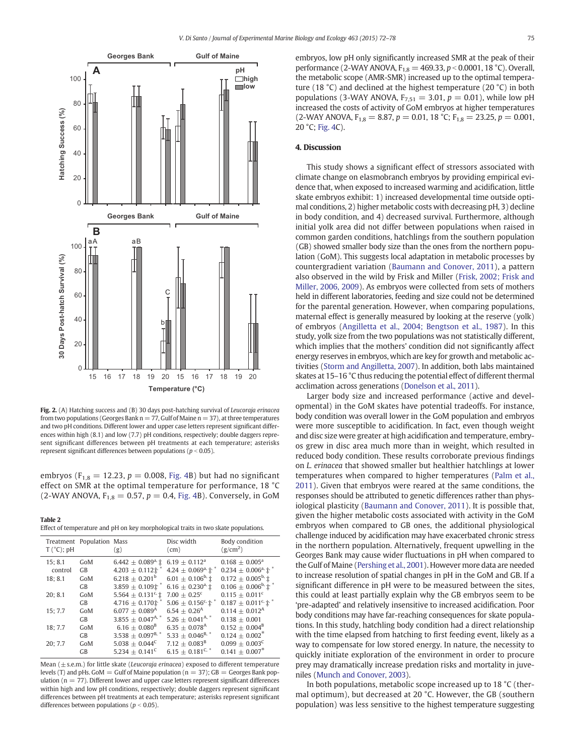<span id="page-3-0"></span>

Fig. 2. (A) Hatching success and (B) 30 days post-hatching survival of Leucoraja erinacea from two populations (Georges Bank  $n = 77$ , Gulf of Maine  $n = 37$ ), at three temperatures and two pH conditions. Different lower and upper case letters represent significant differences within high (8.1) and low (7.7) pH conditions, respectively; double daggers represent significant differences between pH treatments at each temperature; asterisks represent significant differences between populations ( $p < 0.05$ ).

embryos ( $F_{1,8} = 12.23$ ,  $p = 0.008$ , [Fig. 4](#page-5-0)B) but had no significant effect on SMR at the optimal temperature for performance, 18 °C (2-WAY ANOVA,  $F_{1,8} = 0.57$ ,  $p = 0.4$ , [Fig. 4](#page-5-0)B). Conversely, in GoM

Table 2 Effect of temperature and pH on key morphological traits in two skate populations.

| $T(^{\circ}C)$ ; pH | Treatment Population Mass | (g)                                       | Disc width<br>(cm)                          | Body condition<br>(g/cm <sup>2</sup> )             |
|---------------------|---------------------------|-------------------------------------------|---------------------------------------------|----------------------------------------------------|
| 15; 8.1             | GoM                       | $6.442 \pm 0.089^{\text{a}}$ , $\pm$      | $6.19 + 0.112^a$                            | $0.168 + 0.005^{\text{a}}$                         |
| control             | <b>GB</b>                 | $4.203 \pm 0.112$ ±                       | $4.24 \pm 0.069^{\text{a}}$ , $\text{r}^*$  | $0.234 \pm 0.006$ <sup>a,</sup> $\text{T}^*$       |
| 18; 8.1             | GoM                       | $6.218 + 0.201^b$                         | $6.01 \pm 0.106^{\rm b}$ ; $\pm$            | $0.172 \pm 0.005^{b}$ ; ±                          |
|                     | <b>GB</b>                 | $3.859 \pm 0.109$ $\text{t}$ <sup>3</sup> | $6.16 \pm 0.230$ <sup>a</sup> ±             | $0.106 \pm 0.006^{\rm b}$ . $\text{m}^*$           |
| 20:8.1              | GoM                       | 5.564 $\pm$ 0.131 <sup>c,</sup> $\pm$     | $7.00 + 0.25$ <sup>c</sup>                  | $0.115 + 0.011^c$                                  |
| 15:7.7              | <b>GB</b>                 | $4.716 \pm 0.170$ $\pm$                   | $5.06 \pm 0.156$ <sup>c,</sup> $\text{+}^*$ | $0.187 \pm 0.011$ <sup>c,</sup> $\pm$ <sup>*</sup> |
|                     | GoM                       | $6.077 + 0.089$ <sup>A</sup>              | $6.54 + 0.26^{\text{A}}$                    | $0.114 + 0.012A$                                   |
| 18; 7.7             | <b>GB</b>                 | $3.855 \pm 0.047^{A,*}$                   | 5.26 $\pm$ 0.041 <sup>A, *</sup>            | $0.138 + 0.001$                                    |
|                     | GoM                       | $6.16 + 0.080^{\text{B}}$                 | $6.35 + 0.078$ <sup>A</sup>                 | $0.152 + 0.004^B$                                  |
|                     | <b>GB</b>                 | 3.538 $\pm$ 0.097 <sup>B, *</sup>         | $5.33 + 0.046^{B,*}$                        | $0.124 + 0.002^*$                                  |
| 20; 7.7             | GoM                       | $5.038 + 0.044^C$                         | $7.12 + 0.083^B$                            | $0.099 + 0.003^C$                                  |
|                     | <b>GB</b>                 | $5.234 + 0.141^C$                         | $6.15 + 0.181^{\text{C}^*}$                 | $0.141 + 0.007$ <sup>*</sup>                       |

Mean ( $\pm$  s.e.m.) for little skate (Leucoraja erinacea) exposed to different temperature levels (T) and pHs. GoM  $=$  Gulf of Maine population ( $n = 37$ ); GB  $=$  Georges Bank population ( $n = 77$ ). Different lower and upper case letters represent significant differences within high and low pH conditions, respectively; double daggers represent significant differences between pH treatments at each temperature; asterisks represent significant differences between populations ( $p < 0.05$ ).

embryos, low pH only significantly increased SMR at the peak of their performance (2-WAY ANOVA,  $F_{1,8} = 469.33$ ,  $p < 0.0001$ , 18 °C). Overall, the metabolic scope (AMR-SMR) increased up to the optimal temperature (18 °C) and declined at the highest temperature (20 °C) in both populations (3-WAY ANOVA,  $F_{7,51} = 3.01$ ,  $p = 0.01$ ), while low pH increased the costs of activity of GoM embryos at higher temperatures  $(2-WAY ANOVA, F<sub>1,8</sub> = 8.87, p = 0.01, 18 °C; F<sub>1,8</sub> = 23.25, p = 0.001,$ 20 °C; [Fig. 4C](#page-5-0)).

#### 4. Discussion

This study shows a significant effect of stressors associated with climate change on elasmobranch embryos by providing empirical evidence that, when exposed to increased warming and acidification, little skate embryos exhibit: 1) increased developmental time outside optimal conditions, 2) higher metabolic costs with decreasing pH, 3) decline in body condition, and 4) decreased survival. Furthermore, although initial yolk area did not differ between populations when raised in common garden conditions, hatchlings from the southern population (GB) showed smaller body size than the ones from the northern population (GoM). This suggests local adaptation in metabolic processes by countergradient variation ([Baumann and Conover, 2011](#page-5-0)), a pattern also observed in the wild by Frisk and Miller [\(Frisk, 2002; Frisk and](#page-5-0) [Miller, 2006, 2009](#page-5-0)). As embryos were collected from sets of mothers held in different laboratories, feeding and size could not be determined for the parental generation. However, when comparing populations, maternal effect is generally measured by looking at the reserve (yolk) of embryos ([Angilletta et al., 2004; Bengtson et al., 1987](#page-5-0)). In this study, yolk size from the two populations was not statistically different, which implies that the mothers' condition did not significantly affect energy reserves in embryos, which are key for growth and metabolic activities [\(Storm and Angilletta, 2007\)](#page-6-0). In addition, both labs maintained skates at 15–16 °C thus reducing the potential effect of different thermal acclimation across generations ([Donelson et al., 2011\)](#page-5-0).

Larger body size and increased performance (active and developmental) in the GoM skates have potential tradeoffs. For instance, body condition was overall lower in the GoM population and embryos were more susceptible to acidification. In fact, even though weight and disc size were greater at high acidification and temperature, embryos grew in disc area much more than in weight, which resulted in reduced body condition. These results corroborate previous findings on L. erinacea that showed smaller but healthier hatchlings at lower temperatures when compared to higher temperatures ([Palm et al.,](#page-6-0) [2011\)](#page-6-0). Given that embryos were reared at the same conditions, the responses should be attributed to genetic differences rather than physiological plasticity ([Baumann and Conover, 2011](#page-5-0)). It is possible that, given the higher metabolic costs associated with activity in the GoM embryos when compared to GB ones, the additional physiological challenge induced by acidification may have exacerbated chronic stress in the northern population. Alternatively, frequent upwelling in the Georges Bank may cause wider fluctuations in pH when compared to the Gulf of Maine [\(Pershing et al., 2001](#page-6-0)). However more data are needed to increase resolution of spatial changes in pH in the GoM and GB. If a significant difference in pH were to be measured between the sites, this could at least partially explain why the GB embryos seem to be 'pre-adapted' and relatively insensitive to increased acidification. Poor body conditions may have far-reaching consequences for skate populations. In this study, hatchling body condition had a direct relationship with the time elapsed from hatching to first feeding event, likely as a way to compensate for low stored energy. In nature, the necessity to quickly initiate exploration of the environment in order to procure prey may dramatically increase predation risks and mortality in juveniles ([Munch and Conover, 2003](#page-6-0)).

In both populations, metabolic scope increased up to 18 °C (thermal optimum), but decreased at 20 °C. However, the GB (southern population) was less sensitive to the highest temperature suggesting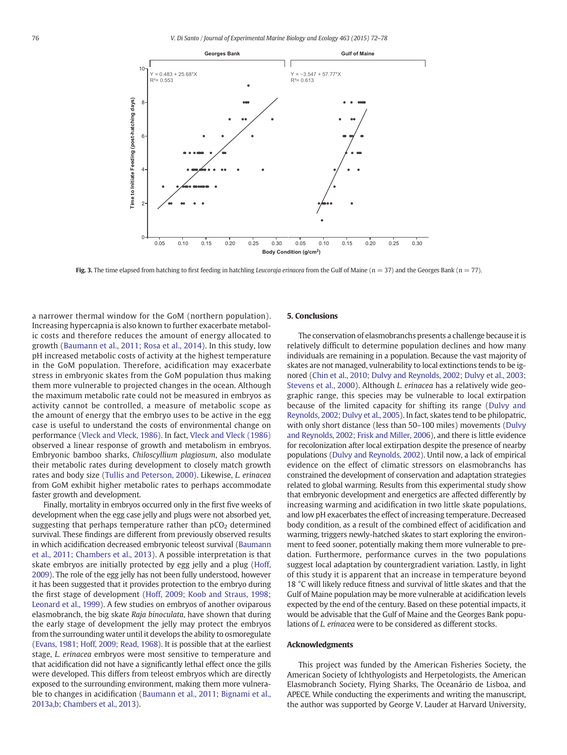<span id="page-4-0"></span>

Fig. 3. The time elapsed from hatching to first feeding in hatchling Leucoraja erinacea from the Gulf of Maine ( $n = 37$ ) and the Georges Bank ( $n = 77$ ).

a narrower thermal window for the GoM (northern population). Increasing hypercapnia is also known to further exacerbate metabolic costs and therefore reduces the amount of energy allocated to growth ([Baumann et al., 2011; Rosa et al., 2014\)](#page-5-0). In this study, low pH increased metabolic costs of activity at the highest temperature in the GoM population. Therefore, acidification may exacerbate stress in embryonic skates from the GoM population thus making them more vulnerable to projected changes in the ocean. Although the maximum metabolic rate could not be measured in embryos as activity cannot be controlled, a measure of metabolic scope as the amount of energy that the embryo uses to be active in the egg case is useful to understand the costs of environmental change on performance ([Vleck and Vleck, 1986\)](#page-6-0). In fact, [Vleck and Vleck \(1986\)](#page-6-0) observed a linear response of growth and metabolism in embryos. Embryonic bamboo sharks, Chiloscyllium plagiosum, also modulate their metabolic rates during development to closely match growth rates and body size ([Tullis and Peterson, 2000](#page-6-0)). Likewise, L. erinacea from GoM exhibit higher metabolic rates to perhaps accommodate faster growth and development.

Finally, mortality in embryos occurred only in the first five weeks of development when the egg case jelly and plugs were not absorbed yet, suggesting that perhaps temperature rather than  $pCO<sub>2</sub>$  determined survival. These findings are different from previously observed results in which acidification decreased embryonic teleost survival ([Baumann](#page-5-0) [et al., 2011; Chambers et al., 2013\)](#page-5-0). A possible interpretation is that skate embryos are initially protected by egg jelly and a plug [\(Hoff,](#page-6-0) [2009\)](#page-6-0). The role of the egg jelly has not been fully understood, however it has been suggested that it provides protection to the embryo during the first stage of development [\(Hoff, 2009; Koob and Straus, 1998;](#page-6-0) [Leonard et al., 1999](#page-6-0)). A few studies on embryos of another oviparous elasmobranch, the big skate Raja binoculata, have shown that during the early stage of development the jelly may protect the embryos from the surrounding water until it develops the ability to osmoregulate [\(Evans, 1981; Hoff, 2009; Read, 1968\)](#page-5-0). It is possible that at the earliest stage, L. erinacea embryos were most sensitive to temperature and that acidification did not have a significantly lethal effect once the gills were developed. This differs from teleost embryos which are directly exposed to the surrounding environment, making them more vulnerable to changes in acidification ([Baumann et al., 2011; Bignami et al.,](#page-5-0) [2013a,b; Chambers et al., 2013\)](#page-5-0).

### 5. Conclusions

The conservation of elasmobranchs presents a challenge because it is relatively difficult to determine population declines and how many individuals are remaining in a population. Because the vast majority of skates are not managed, vulnerability to local extinctions tends to be ignored [\(Chin et al., 2010; Dulvy and Reynolds, 2002; Dulvy et al., 2003;](#page-5-0) [Stevens et al., 2000\)](#page-5-0). Although L. erinacea has a relatively wide geographic range, this species may be vulnerable to local extirpation because of the limited capacity for shifting its range ([Dulvy and](#page-5-0) [Reynolds, 2002; Dulvy et al., 2005\)](#page-5-0). In fact, skates tend to be philopatric, with only short distance (less than 50–100 miles) movements ([Dulvy](#page-5-0) [and Reynolds, 2002; Frisk and Miller, 2006](#page-5-0)), and there is little evidence for recolonization after local extirpation despite the presence of nearby populations [\(Dulvy and Reynolds, 2002\)](#page-5-0). Until now, a lack of empirical evidence on the effect of climatic stressors on elasmobranchs has constrained the development of conservation and adaptation strategies related to global warming. Results from this experimental study show that embryonic development and energetics are affected differently by increasing warming and acidification in two little skate populations, and low pH exacerbates the effect of increasing temperature. Decreased body condition, as a result of the combined effect of acidification and warming, triggers newly-hatched skates to start exploring the environment to feed sooner, potentially making them more vulnerable to predation. Furthermore, performance curves in the two populations suggest local adaptation by countergradient variation. Lastly, in light of this study it is apparent that an increase in temperature beyond 18 °C will likely reduce fitness and survival of little skates and that the Gulf of Maine population may be more vulnerable at acidification levels expected by the end of the century. Based on these potential impacts, it would be advisable that the Gulf of Maine and the Georges Bank populations of L. erinacea were to be considered as different stocks.

#### Acknowledgments

This project was funded by the American Fisheries Society, the American Society of Ichthyologists and Herpetologists, the American Elasmobranch Society, Flying Sharks, The Oceanário de Lisboa, and APECE. While conducting the experiments and writing the manuscript, the author was supported by George V. Lauder at Harvard University,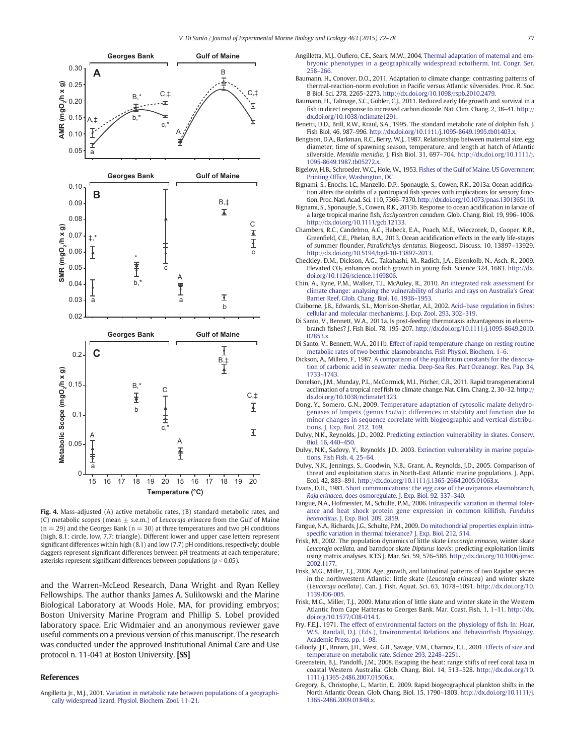<span id="page-5-0"></span>

Fig. 4. Mass-adjusted (A) active metabolic rates, (B) standard metabolic rates, and (C) metabolic scopes (mean  $\pm$  s.e.m.) of Leucoraja erinacea from the Gulf of Maine  $(n = 29)$  and the Georges Bank  $(n = 30)$  at three temperatures and two pH conditions (high, 8.1: circle, low, 7.7: triangle). Different lower and upper case letters represent significant differences within high (8.1) and low (7.7) pH conditions, respectively; double daggers represent significant differences between pH treatments at each temperature; asterisks represent significant differences between populations ( $p < 0.05$ ).

and the Warren-McLeod Research, Dana Wright and Ryan Kelley Fellowships. The author thanks James A. Sulikowski and the Marine Biological Laboratory at Woods Hole, MA, for providing embryos; Boston University Marine Program and Phillip S. Lobel provided laboratory space. Eric Widmaier and an anonymous reviewer gave useful comments on a previous version of this manuscript. The research was conducted under the approved Institutional Animal Care and Use protocol n. 11-041 at Boston University. [SS]

#### References

Angilletta Jr., M.J., 2001. [Variation in metabolic rate between populations of a geographi](http://refhub.elsevier.com/S0022-0981(14)00307-4/rf0005)[cally widespread lizard. Physiol. Biochem. Zool. 11](http://refhub.elsevier.com/S0022-0981(14)00307-4/rf0005)–21.

- Angilletta, M.J., Oufiero, C.E., Sears, M.W., 2004. [Thermal adaptation of maternal and em](http://refhub.elsevier.com/S0022-0981(14)00307-4/rf0340)[bryonic phenotypes in a geographically widespread ectotherm. Int. Congr. Ser.](http://refhub.elsevier.com/S0022-0981(14)00307-4/rf0340) [258](http://refhub.elsevier.com/S0022-0981(14)00307-4/rf0340)–266.
- Baumann, H., Conover, D.O., 2011. Adaptation to climate change: contrasting patterns of thermal-reaction-norm evolution in Pacific versus Atlantic silversides. Proc. R. Soc. B Biol. Sci. 278, 2265–2273. http://dx.doi.org[/10.1098/rspb.2010.2479.](http://dx.doi.org/10.1098/rspb.2010.2479)
- Baumann, H., Talmage, S.C., Gobler, C.J., 2011. Reduced early life growth and survival in a fish in direct response to increased carbon dioxide. Nat. Clim. Chang. 2, 38–41. http:// dx.doi.org/[10.1038/nclimate1291](http://dx.doi.org/10.1038/nclimate1291).
- Benetti, D.D., Brill, R.W., Kraul, S.A., 1995. The standard metabolic rate of dolphin fish. J. Fish Biol. 46, 987–996. http://dx.doi.org[/10.1111/j.1095-8649.1995.tb01403.x](http://dx.doi.org/10.1111/j.1095-8649.1995.tb01403.x).
- Bengtson, D.A., Barkman, R.C., Berry, W.J., 1987. Relationships between maternal size, egg diameter, time of spawning season, temperature, and length at hatch of Atlantic silverside, Menidia menidia. J. Fish Biol. 31, 697–704. http://dx.doi.org/[10.1111/j.](http://dx.doi.org/10.1111/j.1095-8649.1987.tb05272.x) [1095-8649.1987.tb05272.x.](http://dx.doi.org/10.1111/j.1095-8649.1987.tb05272.x)
- Bigelow, H.B., Schroeder, W.C., Hole, W., 1953. [Fishes of the Gulf of Maine. US Government](http://refhub.elsevier.com/S0022-0981(14)00307-4/rf0350) Printing Offi[ce, Washington, DC](http://refhub.elsevier.com/S0022-0981(14)00307-4/rf0350).
- Bignami, S., Enochs, I.C., Manzello, D.P., Sponaugle, S., Cowen, R.K., 2013a. Ocean acidification alters the otoliths of a pantropical fish species with implications for sensory function. Proc. Natl. Acad. Sci. 110, 7366–7370. http://dx.doi.org/[10.1073/pnas.1301365110](http://dx.doi.org/10.1073/pnas.1301365110).
- Bignami, S., Sponaugle, S., Cowen, R.K., 2013b. Response to ocean acidification in larvae of a large tropical marine fish, Rachycentron canadum. Glob. Chang. Biol. 19, 996–1006. http://dx.doi.org[/10.1111/gcb.12133](http://dx.doi.org/10.1111/gcb.12133).
- Chambers, R.C., Candelmo, A.C., Habeck, E.A., Poach, M.E., Wieczorek, D., Cooper, K.R., Greenfield, C.E., Phelan, B.A., 2013. Ocean acidification effects in the early life-stages of summer flounder, Paralichthys dentatus. Biogeosci. Discuss. 10, 13897–13929. http://dx.doi.org[/10.5194/bgd-10-13897-2013](http://dx.doi.org/10.5194/bgd-10-13897-2013).
- Checkley, D.M., Dickson, A.G., Takahashi, M., Radich, J.A., Eisenkolb, N., Asch, R., 2009. Elevated CO<sub>2</sub> enhances otolith growth in young fish. Science 324, 1683. http://dx. doi.org[/10.1126/science.1169806.](http://dx.doi.org/10.1126/science.1169806)
- Chin, A., Kyne, P.M., Walker, T.I., McAuley, R., 2010. [An integrated risk assessment for](http://refhub.elsevier.com/S0022-0981(14)00307-4/rf0055) [climate change: analysing the vulnerability of sharks and rays on Australia's Great](http://refhub.elsevier.com/S0022-0981(14)00307-4/rf0055) [Barrier Reef. Glob. Chang. Biol. 16, 1936](http://refhub.elsevier.com/S0022-0981(14)00307-4/rf0055)–1953.
- Claiborne, J.B., Edwards, S.L., Morrison-Shetlar, A.I., 2002. Acid–[base regulation in](http://refhub.elsevier.com/S0022-0981(14)00307-4/rf0060) fishes: [cellular and molecular mechanisms. J. Exp. Zool. 293, 302](http://refhub.elsevier.com/S0022-0981(14)00307-4/rf0060)–319.
- Di Santo, V., Bennett, W.A., 2011a. Is post-feeding thermotaxis advantageous in elasmobranch fishes? J. Fish Biol. 78, 195–207. http://dx.doi.org[/10.1111/j.1095-8649.2010.](http://dx.doi.org/10.1111/j.1095-8649.2010.02853.x) [02853.x](http://dx.doi.org/10.1111/j.1095-8649.2010.02853.x).
- Di Santo, V., Bennett, W.A., 2011b. [Effect of rapid temperature change on resting routine](http://refhub.elsevier.com/S0022-0981(14)00307-4/rf0070) [metabolic rates of two benthic elasmobranchs. Fish Physiol. Biochem. 1](http://refhub.elsevier.com/S0022-0981(14)00307-4/rf0070)–6.
- Dickson, A., Millero, F., 1987. [A comparison of the equilibrium constants for the dissocia](http://refhub.elsevier.com/S0022-0981(14)00307-4/rf0075)[tion of carbonic acid in seawater media. Deep-Sea Res. Part Oceanogr. Res. Pap. 34,](http://refhub.elsevier.com/S0022-0981(14)00307-4/rf0075) [1733](http://refhub.elsevier.com/S0022-0981(14)00307-4/rf0075)–1743.
- Donelson, J.M., Munday, P.L., McCormick, M.I., Pitcher, C.R., 2011. Rapid transgenerational acclimation of a tropical reef fish to climate change. Nat. Clim. Chang. 2, 30–32. http:// dx.doi.org/[10.1038/nclimate1323](http://dx.doi.org/10.1038/nclimate1323).
- Dong, Y., Somero, G.N., 2009. [Temperature adaptation of cytosolic malate dehydro](http://refhub.elsevier.com/S0022-0981(14)00307-4/rf0085)genases of limpets (genus Lottia[\): differences in stability and function due to](http://refhub.elsevier.com/S0022-0981(14)00307-4/rf0085) [minor changes in sequence correlate with biogeographic and vertical distribu](http://refhub.elsevier.com/S0022-0981(14)00307-4/rf0085)[tions. J. Exp. Biol. 212, 169.](http://refhub.elsevier.com/S0022-0981(14)00307-4/rf0085)
- Dulvy, N.K., Reynolds, J.D., 2002. [Predicting extinction vulnerability in skates. Conserv.](http://refhub.elsevier.com/S0022-0981(14)00307-4/rf0095) [Biol. 16, 440](http://refhub.elsevier.com/S0022-0981(14)00307-4/rf0095)–450.
- Dulvy, N.K., Sadovy, Y., Reynolds, J.D., 2003. [Extinction vulnerability in marine popula](http://refhub.elsevier.com/S0022-0981(14)00307-4/rf0100)[tions. Fish Fish. 4, 25](http://refhub.elsevier.com/S0022-0981(14)00307-4/rf0100)–64.
- Dulvy, N.K., Jennings, S., Goodwin, N.B., Grant, A., Reynolds, J.D., 2005. Comparison of threat and exploitation status in North-East Atlantic marine populations. J. Appl. Ecol. 42, 883–891. http://dx.doi.org/[10.1111/j.1365-2664.2005.01063.x](http://dx.doi.org/10.1111/j.1365-2664.2005.01063.x).
- Evans, D.H., 1981. [Short communications: the egg case of the oviparous elasmobranch,](http://refhub.elsevier.com/S0022-0981(14)00307-4/rf0105) Raja erinacea[, does osmoregulate. J. Exp. Biol. 92, 337](http://refhub.elsevier.com/S0022-0981(14)00307-4/rf0105)–340.
- Fangue, N.A., Hofmeister, M., Schulte, P.M., 2006. Intraspecifi[c variation in thermal toler](http://refhub.elsevier.com/S0022-0981(14)00307-4/rf0110)[ance and heat shock protein gene expression in common killi](http://refhub.elsevier.com/S0022-0981(14)00307-4/rf0110)fish, Fundulus heteroclitus[. J. Exp. Biol. 209, 2859](http://refhub.elsevier.com/S0022-0981(14)00307-4/rf0110).
- Fangue, N.A., Richards, J.G., Schulte, P.M., 2009. [Do mitochondrial properties explain intra](http://refhub.elsevier.com/S0022-0981(14)00307-4/rf0115)specifi[c variation in thermal tolerance? J. Exp. Biol. 212, 514](http://refhub.elsevier.com/S0022-0981(14)00307-4/rf0115).
- Frisk, M., 2002. The population dynamics of little skate Leucoraja erinacea, winter skate Leucoraja ocellata, and barndoor skate Dipturus laevis: predicting exploitation limits using matrix analyses. ICES J. Mar. Sci. 59, 576–586. http://dx.doi.org/[10.1006/jmsc.](http://dx.doi.org/10.1006/jmsc.2002.1177) [2002.1177](http://dx.doi.org/10.1006/jmsc.2002.1177).
- Frisk, M.G., Miller, T.J., 2006. Age, growth, and latitudinal patterns of two Rajidae species in the northwestern Atlantic: little skate (Leucoraja erinacea) and winter skate (Leucoraja ocellata). Can. J. Fish. Aquat. Sci. 63, 1078–1091. http://dx.doi.org/[10.](http://dx.doi.org/10.1139/f06-005) [1139/f06-005](http://dx.doi.org/10.1139/f06-005).
- Frisk, M.G., Miller, T.J., 2009. Maturation of little skate and winter skate in the Western Atlantic from Cape Hatteras to Georges Bank. Mar. Coast. Fish. 1, 1–11. http://dx. doi.org[/10.1577/C08-014.1](http://dx.doi.org/10.1577/C08-014.1).
- Fry, F.E.J., 1971. [The effect of environmental factors on the physiology of](http://refhub.elsevier.com/S0022-0981(14)00307-4/rf0360) fish. In: Hoar, [W.S., Randall, D.J. \(Eds.\), Environmental Relations and BehaviorFish Physiology.](http://refhub.elsevier.com/S0022-0981(14)00307-4/rf0360) [Academic Press, pp. 1](http://refhub.elsevier.com/S0022-0981(14)00307-4/rf0360)–98.
- Gillooly, J.F., Brown, J.H., West, G.B., Savage, V.M., Charnov, E.L., 2001. [Effects of size and](http://refhub.elsevier.com/S0022-0981(14)00307-4/rf0140) [temperature on metabolic rate. Science 293, 2248](http://refhub.elsevier.com/S0022-0981(14)00307-4/rf0140)–2251.
- Greenstein, B.J., Pandolfi, J.M., 2008. Escaping the heat: range shifts of reef coral taxa in coastal Western Australia. Glob. Chang. Biol. 14, 513–528. http://dx.doi.org/[10.](http://dx.doi.org/10.1111/j.1365-2486.2007.01506.x) [1111/j.1365-2486.2007.01506.x.](http://dx.doi.org/10.1111/j.1365-2486.2007.01506.x)
- Gregory, B., Christophe, L., Martin, E., 2009. Rapid biogeographical plankton shifts in the North Atlantic Ocean. Glob. Chang. Biol. 15, 1790–1803. http://dx.doi.org[/10.1111/j.](http://dx.doi.org/10.1111/j.1365-2486.2009.01848.x) [1365-2486.2009.01848.x.](http://dx.doi.org/10.1111/j.1365-2486.2009.01848.x)